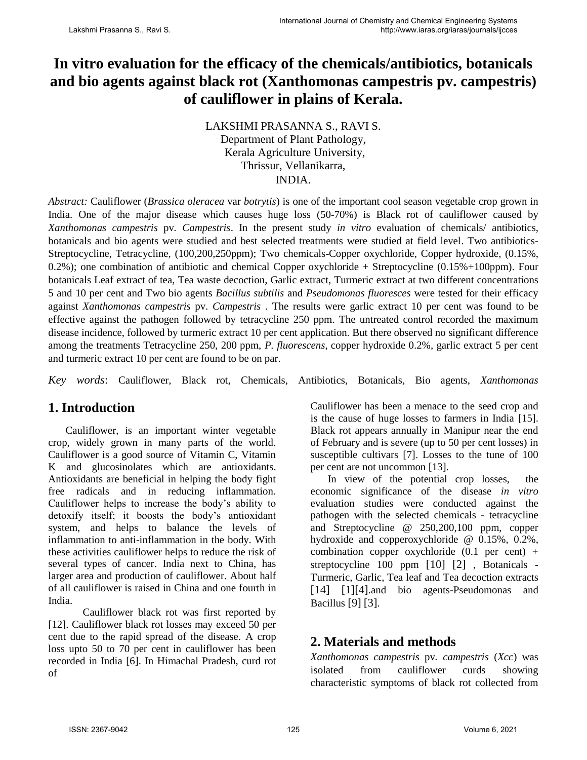# **In vitro evaluation for the efficacy of the chemicals/antibiotics, botanicals and bio agents against black rot (Xanthomonas campestris pv. campestris) of cauliflower in plains of Kerala.**

LAKSHMI PRASANNA S., RAVI S. Department of Plant Pathology, Kerala Agriculture University, Thrissur, Vellanikarra, INDIA.

*Abstract:* Cauliflower (*Brassica oleracea* var *botrytis*) is one of the important cool season vegetable crop grown in India. One of the major disease which causes huge loss (50-70%) is Black rot of cauliflower caused by *Xanthomonas campestris* pv*. Campestris*. In the present study *in vitro* evaluation of chemicals/ antibiotics, botanicals and bio agents were studied and best selected treatments were studied at field level. Two antibiotics-Streptocycline, Tetracycline, (100,200,250ppm); Two chemicals-Copper oxychloride, Copper hydroxide, (0.15%, 0.2%); one combination of antibiotic and chemical Copper oxychloride + Streptocycline  $(0.15% + 100$ ppm). Four botanicals Leaf extract of tea, Tea waste decoction, Garlic extract, Turmeric extract at two different concentrations 5 and 10 per cent and Two bio agents *Bacillus subtilis* and *Pseudomonas fluoresces* were tested for their efficacy against *Xanthomonas campestris* pv. *Campestris* . The results were garlic extract 10 per cent was found to be effective against the pathogen followed by tetracycline 250 ppm. The untreated control recorded the maximum disease incidence, followed by turmeric extract 10 per cent application. But there observed no significant difference among the treatments Tetracycline 250, 200 ppm, *P. fluorescens*, copper hydroxide 0.2%, garlic extract 5 per cent and turmeric extract 10 per cent are found to be on par.

*Key words*: Cauliflower, Black rot, Chemicals, Antibiotics, Botanicals, Bio agents, *Xanthomonas*

# **1. Introduction**

Cauliflower, is an important winter vegetable crop, widely grown in many parts of the world. Cauliflower is a good source of Vitamin C, Vitamin K and glucosinolates which are antioxidants. Antioxidants are beneficial in helping the body fight free radicals and in reducing inflammation. Cauliflower helps to increase the body's ability to detoxify itself; it boosts the body's antioxidant system, and helps to balance the levels of inflammation to anti-inflammation in the body. With these activities cauliflower helps to reduce the risk of several types of cancer. India next to China, has larger area and production of cauliflower. About half of all cauliflower is raised in China and one fourth in India.

Cauliflower black rot was first reported by [12]. Cauliflower black rot losses may exceed 50 per cent due to the rapid spread of the disease. A crop loss upto 50 to 70 per cent in cauliflower has been recorded in India [6]. In Himachal Pradesh, curd rot of

Cauliflower has been a menace to the seed crop and is the cause of huge losses to farmers in India [15]. Black rot appears annually in Manipur near the end of February and is severe (up to 50 per cent losses) in susceptible cultivars [7]. Losses to the tune of 100 per cent are not uncommon [13].

In view of the potential crop losses, the economic significance of the disease *in vitro* evaluation studies were conducted against the pathogen with the selected chemicals - tetracycline and Streptocycline @ 250,200,100 ppm, copper hydroxide and copperoxychloride @ 0.15%, 0.2%, combination copper oxychloride  $(0.1$  per cent) + streptocycline 100 ppm [10] [2] , Botanicals - Turmeric, Garlic, Tea leaf and Tea decoction extracts [14] [1][4].and bio agents-Pseudomonas and Bacillus [9] [3].

# **2. Materials and methods**

*Xanthomonas campestris* pv*. campestris* (*Xcc*) was isolated from cauliflower curds showing characteristic symptoms of black rot collected from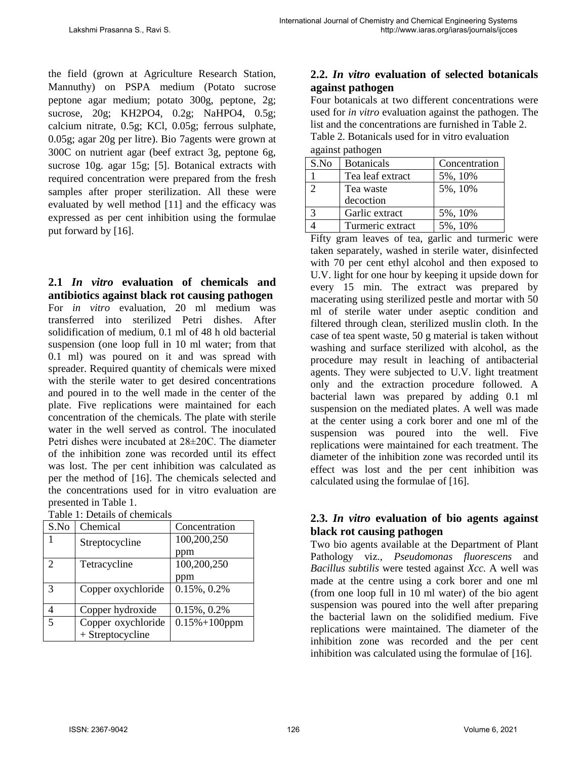the field (grown at Agriculture Research Station, Mannuthy) on PSPA medium (Potato sucrose peptone agar medium; potato 300g, peptone, 2g; sucrose, 20g; KH2PO4, 0.2g; NaHPO4, 0.5g; calcium nitrate, 0.5g; KCl, 0.05g; ferrous sulphate, 0.05g; agar 20g per litre). Bio 7agents were grown at 300C on nutrient agar (beef extract 3g, peptone 6g, sucrose 10g. agar 15g; [5]. Botanical extracts with required concentration were prepared from the fresh samples after proper sterilization. All these were evaluated by well method [11] and the efficacy was expressed as per cent inhibition using the formulae put forward by [16].

**2.1** *In vitro* **evaluation of chemicals and antibiotics against black rot causing pathogen** For *in vitro* evaluation, 20 ml medium was transferred into sterilized Petri dishes. After solidification of medium, 0.1 ml of 48 h old bacterial suspension (one loop full in 10 ml water; from that 0.1 ml) was poured on it and was spread with spreader. Required quantity of chemicals were mixed with the sterile water to get desired concentrations and poured in to the well made in the center of the plate. Five replications were maintained for each concentration of the chemicals. The plate with sterile water in the well served as control. The inoculated Petri dishes were incubated at 28±20C. The diameter of the inhibition zone was recorded until its effect was lost. The per cent inhibition was calculated as per the method of [16]. The chemicals selected and the concentrations used for in vitro evaluation are presented in Table 1.

| Table 1: Details of chemicals |  |
|-------------------------------|--|
|-------------------------------|--|

| S.No                        | Chemical           | Concentration      |
|-----------------------------|--------------------|--------------------|
|                             | Streptocycline     | 100,200,250        |
|                             |                    | ppm                |
| $\mathcal{D}_{\mathcal{L}}$ | Tetracycline       | 100,200,250        |
|                             |                    | ppm                |
| 3                           | Copper oxychloride | $0.15\%, 0.2\%$    |
|                             | Copper hydroxide   | $0.15\%, 0.2\%$    |
| 5                           | Copper oxychloride | $0.15\% + 100$ ppm |
|                             | + Streptocycline   |                    |

## **2.2.** *In vitro* **evaluation of selected botanicals against pathogen**

Four botanicals at two different concentrations were used for *in vitro* evaluation against the pathogen. The list and the concentrations are furnished in Table 2. Table 2. Botanicals used for in vitro evaluation against pathogen

| $u_{\text{S}}$ umot puuro $\text{S}$ en |                   |               |  |  |  |
|-----------------------------------------|-------------------|---------------|--|--|--|
| S.No                                    | <b>Botanicals</b> | Concentration |  |  |  |
|                                         | Tea leaf extract  | 5%, 10%       |  |  |  |
| $\mathcal{D}$                           | Tea waste         | 5%, 10%       |  |  |  |
|                                         | decoction         |               |  |  |  |
| 3                                       | Garlic extract    | 5%, 10%       |  |  |  |
|                                         | Turmeric extract  | 5%, 10%       |  |  |  |

Fifty gram leaves of tea, garlic and turmeric were taken separately, washed in sterile water, disinfected with 70 per cent ethyl alcohol and then exposed to U.V. light for one hour by keeping it upside down for every 15 min. The extract was prepared by macerating using sterilized pestle and mortar with 50 ml of sterile water under aseptic condition and filtered through clean, sterilized muslin cloth. In the case of tea spent waste, 50 g material is taken without washing and surface sterilized with alcohol, as the procedure may result in leaching of antibacterial agents. They were subjected to U.V. light treatment only and the extraction procedure followed. A bacterial lawn was prepared by adding 0.1 ml suspension on the mediated plates. A well was made at the center using a cork borer and one ml of the suspension was poured into the well. Five replications were maintained for each treatment. The diameter of the inhibition zone was recorded until its effect was lost and the per cent inhibition was calculated using the formulae of [16].

## **2.3.** *In vitro* **evaluation of bio agents against black rot causing pathogen**

Two bio agents available at the Department of Plant Pathology viz., *Pseudomonas fluorescens* and *Bacillus subtilis* were tested against *Xcc.* A well was made at the centre using a cork borer and one ml (from one loop full in 10 ml water) of the bio agent suspension was poured into the well after preparing the bacterial lawn on the solidified medium. Five replications were maintained. The diameter of the inhibition zone was recorded and the per cent inhibition was calculated using the formulae of [16].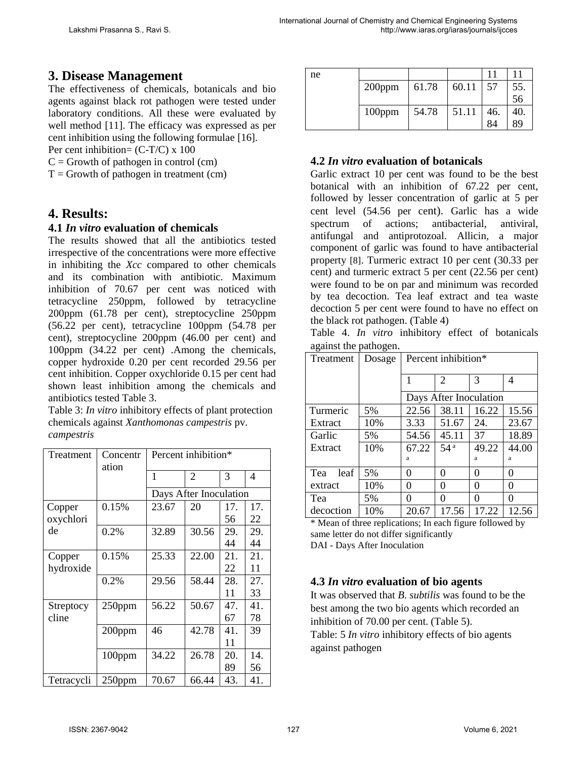# **3. Disease Management**

The effectiveness of chemicals, botanicals and bio agents against black rot pathogen were tested under laboratory conditions. All these were evaluated by well method [11]. The efficacy was expressed as per cent inhibition using the following formulae [16].

Per cent inhibition=  $(C-T/C)$  x 100

 $C =$  Growth of pathogen in control (cm)

 $T =$  Growth of pathogen in treatment (cm)

## **4. Results:**

#### **4.1** *In vitro* **evaluation of chemicals**

The results showed that all the antibiotics tested irrespective of the concentrations were more effective in inhibiting the *Xcc* compared to other chemicals and its combination with antibiotic. Maximum inhibition of 70.67 per cent was noticed with tetracycline 250ppm, followed by tetracycline 200ppm (61.78 per cent), streptocycline 250ppm (56.22 per cent), tetracycline 100ppm (54.78 per cent), streptocycline 200ppm (46.00 per cent) and 100ppm (34.22 per cent) .Among the chemicals, copper hydroxide 0.20 per cent recorded 29.56 per cent inhibition. Copper oxychloride 0.15 per cent had shown least inhibition among the chemicals and antibiotics tested Table 3.

Table 3: *In vitro* inhibitory effects of plant protection chemicals against *Xanthomonas campestris* pv. *campestris*

| Treatment  | Concentr<br>ation | Percent inhibition*    |                |     |     |  |  |
|------------|-------------------|------------------------|----------------|-----|-----|--|--|
|            |                   | 1                      | $\overline{2}$ | 3   | 4   |  |  |
|            |                   | Days After Inoculation |                |     |     |  |  |
| Copper     | 0.15%             | 23.67                  | 20             | 17. | 17. |  |  |
| oxychlori  |                   |                        |                | 56  | 22  |  |  |
| de         | 0.2%              | 32.89                  | 30.56          | 29. | 29. |  |  |
|            |                   |                        |                | 44  | 44  |  |  |
| Copper     | 0.15%             | 25.33                  | 22.00          | 21. | 21. |  |  |
| hydroxide  |                   |                        |                | 22  | 11  |  |  |
|            | 0.2%              | 29.56                  | 58.44          | 28. | 27. |  |  |
|            |                   |                        |                | 11  | 33  |  |  |
| Streptocy  | 250ppm            | 56.22                  | 50.67          | 47. | 41. |  |  |
| cline      |                   |                        |                | 67  | 78  |  |  |
|            | 200ppm            | 46                     | 42.78          | 41. | 39  |  |  |
|            |                   |                        |                | 11  |     |  |  |
|            | 100ppm            | 34.22                  | 26.78          | 20. | 14. |  |  |
|            |                   |                        |                | 89  | 56  |  |  |
| Tetracycli | $250$ ppm         | 70.67                  | 66.44          | 43. | 41. |  |  |

| ne |           |       |       |     |     |
|----|-----------|-------|-------|-----|-----|
|    | $200$ ppm | 61.78 | 60.11 | 57  | 55. |
|    |           |       |       |     | 56  |
|    | 100ppm    | 54.78 | 51.11 | 46. | 40. |
|    |           |       |       | 84  | 89  |

## **4.2** *In vitro* **evaluation of botanicals**

Garlic extract 10 per cent was found to be the best botanical with an inhibition of 67.22 per cent, followed by lesser concentration of garlic at 5 per cent level (54.56 per cent). Garlic has a wide spectrum of actions; antibacterial, antiviral, antifungal and antiprotozoal. Allicin, a major component of garlic was found to have antibacterial property [8]. Turmeric extract 10 per cent (30.33 per cent) and turmeric extract 5 per cent (22.56 per cent) were found to be on par and minimum was recorded by tea decoction. Tea leaf extract and tea waste decoction 5 per cent were found to have no effect on the black rot pathogen. (Table 4)

Table 4. *In vitro* inhibitory effect of botanicals against the pathogen.

| Treatment   | Dosage | Percent inhibition*    |                 |          |       |
|-------------|--------|------------------------|-----------------|----------|-------|
|             |        |                        | $\overline{2}$  | 3        | 4     |
|             |        | Days After Inoculation |                 |          |       |
| Turmeric    | 5%     | 22.56                  | 38.11           | 16.22    | 15.56 |
| Extract     | 10%    | 3.33                   | 51.67           | 24.      | 23.67 |
| Garlic      | 5%     | 54.56                  | 45.11           | 37       | 18.89 |
| Extract     | 10%    | 67.22                  | 54 <sup>a</sup> | 49.22    | 44.00 |
|             |        | a                      |                 | a        | a     |
| leaf<br>Tea | 5%     | 0                      | 0               | 0        | 0     |
| extract     | 10%    | 0                      | 0               | 0        | 0     |
| Tea         | 5%     | 0                      | 0               | $\Omega$ | 0     |
| decoction   | 10%    | 20.67                  | 17.56           | 17.22    | 12.56 |

\* Mean of three replications; In each figure followed by same letter do not differ significantly DAI - Days After Inoculation

#### **4.3** *In vitro* **evaluation of bio agents**

It was observed that *B. subtilis* was found to be the best among the two bio agents which recorded an inhibition of 70.00 per cent. (Table 5).

Table: 5 *In vitro* inhibitory effects of bio agents against pathogen